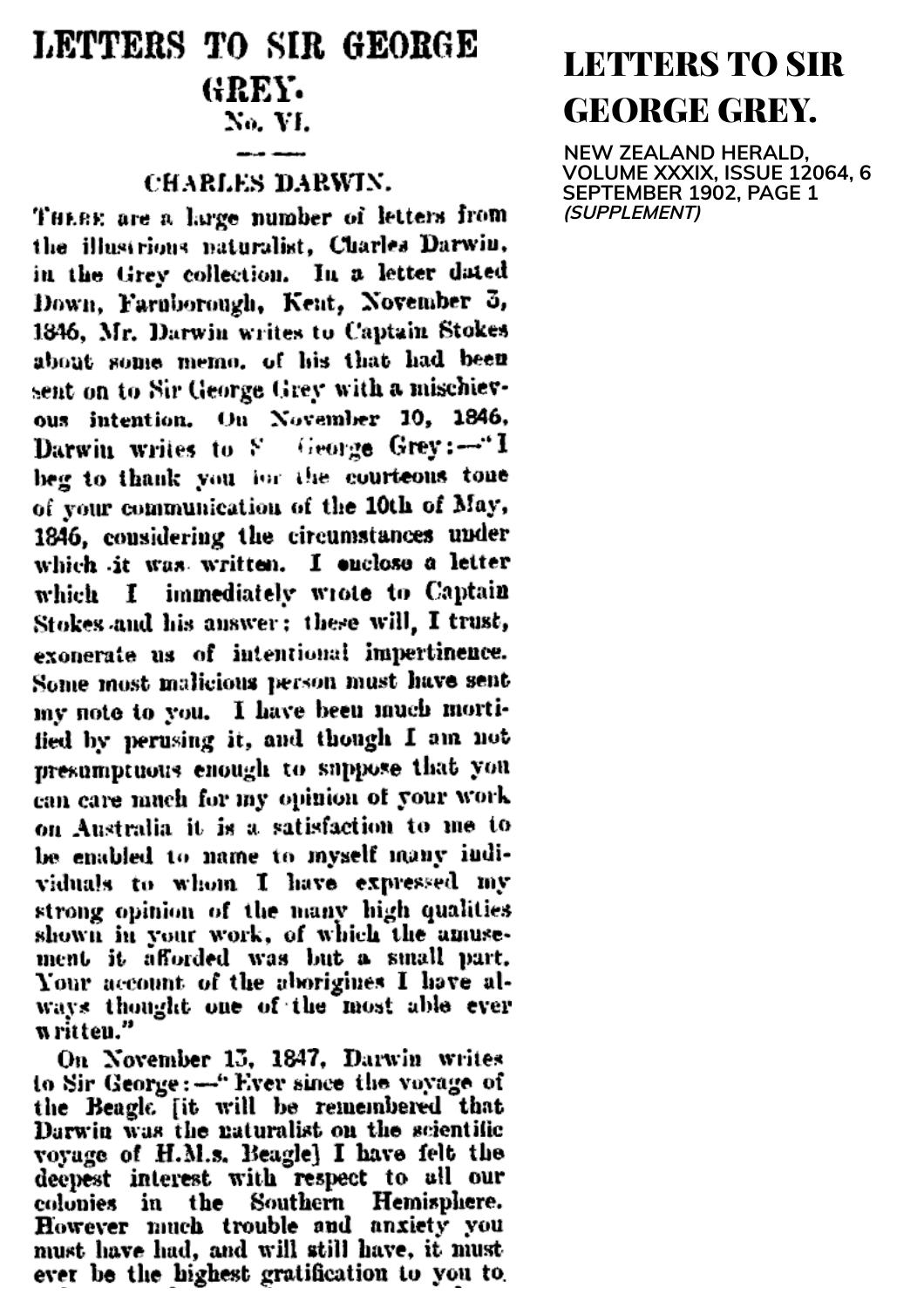## LETTERS TO SIR GEORGE GREY. No. VI.

## CHARLES DARWIN.

THERE are a large number of letters from the illustrious naturalist, Charles Darwin, in the Grey collection. In a letter dated Down, Farnborough, Keat, November 3, 1846, Mr. Darwin writes to Captain Stokes about some memo, of his that had been sent on to Sir George Grey with a mischievous intention. On November 10, 1846, Darwin writes to S George Grey:-"I beg to thank you for the courteons tone of your communication of the 10th of May,<br>1846, considering the circumstances under which it was written. I enclose a letter which I immediately wrote to Captain Stokes and his answer; these will, I trust, exonerate us of intentional impertinence. Some most malicious person must have sent my note to you. I have been much mortified by perusing it, and though I am not presumptuous enough to suppose that you can care much for my opinion of your work on Australia it is a satisfaction to me to be enabled to name to myself many individuals to whom I have expressed my strong opinion of the many high qualities<br>shown in your work, of which the amuse-<br>ment it afforded was but a small part.<br>Your account of the aborigines I have always thought one of the most able ever written."

On November 15, 1847, Darwin writes<br>to Sir George: -- "Ever since the voyage of<br>the Beagle [it will be remembered that<br>Darwin was the naturalist on the scientific Darwin was the naturalist on the scientific<br>voyage of H.M.s. Beagle] I have felt the<br>deepest interest with respect to all our<br>colonies in the Southern Hemisphere.<br>However much trouble and anxiety you<br>must have had, and wil ever be the highest gratification to you to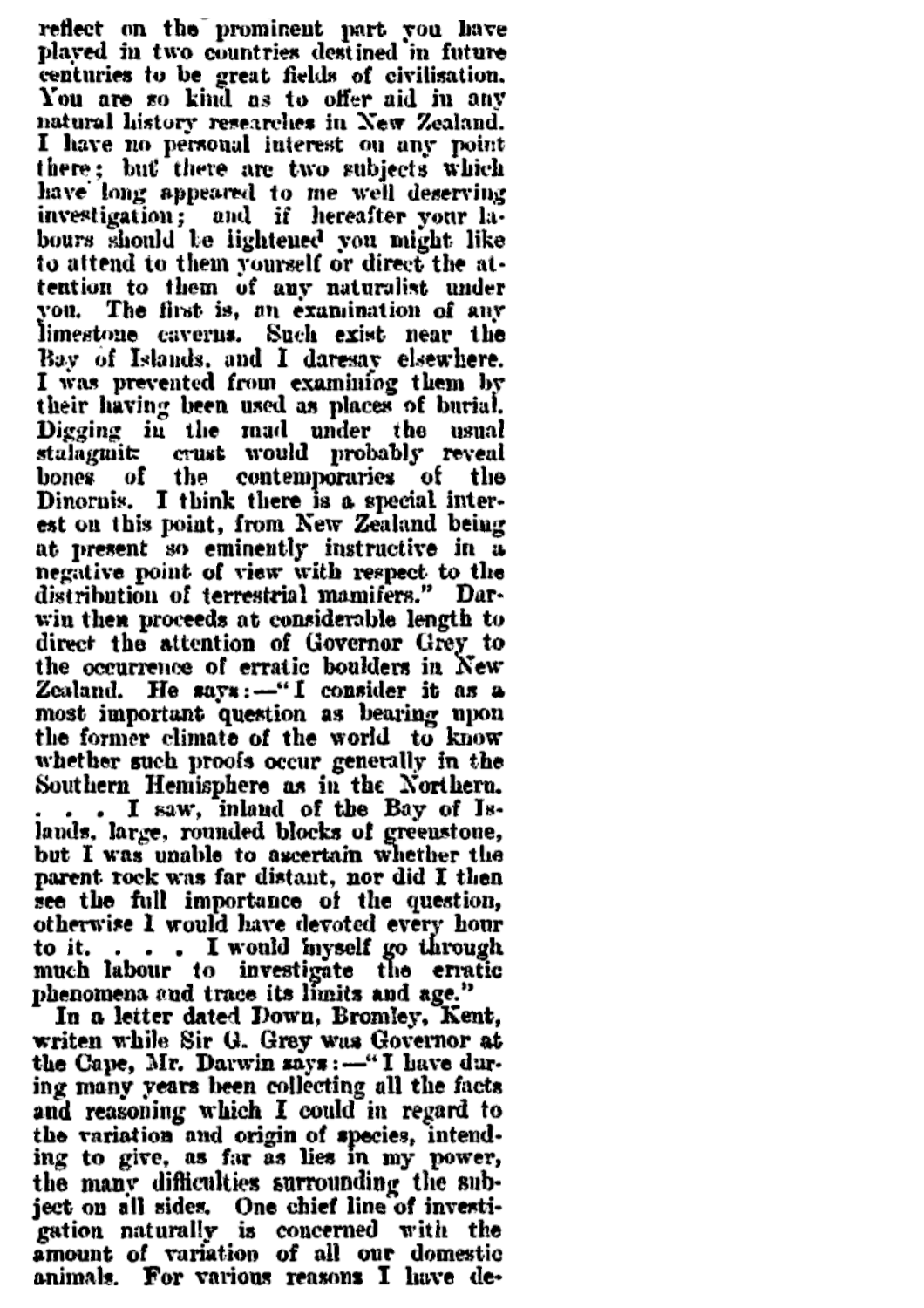reflect on the prominent part you have<br>played in two countries destined in future centuries to be great fields of civilisation.<br>You are so kind as to offer aid in any natural history researches in New Zealand. I have no personal interest on any point<br>there; but there are two subjects which have long appeared to me well deserving investigation; and if hereafter your labours should be lightened you might like tention to them of any naturalist under you. The first is, an examination of any limestone caverns. Such exist near the Bay of Islands, and I daresay elsewhere. I was prevented from examining them by their having been used as places of burial. Digging in the mad under the usual<br>stalagmit crust would probably reveal<br>bones of the contemporaries of the<br>Dinornis. I think there is a special inter-<br>est on this point, from New Zealand being at present so eminently instructive in a negative point of view with respect to the distribution of terrestrial mamifers." Darwin then proceeds at considerable length to direct the attention of Governor Grey to the occurrence of erratic boulders in New Zealand. He says:--"I consider it as a<br>most important question as bearing upon<br>the former climate of the world to know<br>whether such proofs occur generally in the<br>Southern Hemisphere as in the Northern. southern fremsphere as in the Northern.<br>
... I saw, inland of the Bay of Is-<br>
lands, large, rounded blocks of greenstone,<br>
but I was unable to ascertain whether the<br>
parent rock was far distant, nor did I then<br>
see the ful otherwise I would have devoted every hour to it. . . . . I would hyself go through<br>much labour to investigate the erratic<br>phenomena and trace its limits and age."

In a letter dated Down, Bromley, Kent, writen while Sir G. Grey was Governor at<br>the Cape, Mr. Darwin says: --"I have during many years been collecting all the facts and reasoning which I could in regard to the variation and origin of species, intend-<br>ing to give, as far as lies in my power, the many difficulties surrounding the sub-<br>ject on all sides. One chief line of investigation naturally is concerned with the amount of variation of all our domestic<br>animals. For various reasons I have de-